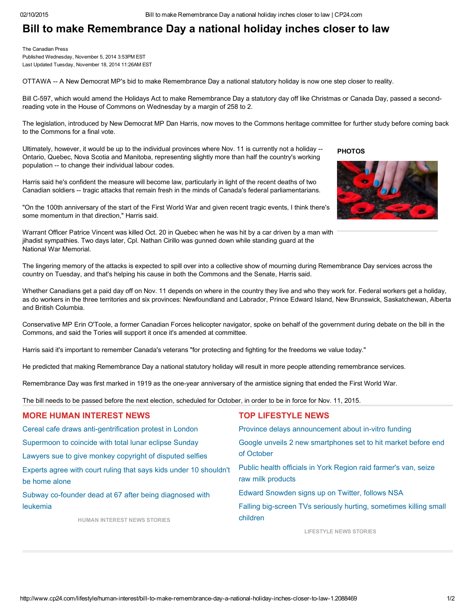## Bill to make Remembrance Day a national holiday inches closer to law

The Canadian Press Published Wednesday, November 5, 2014 3:53PM EST

Last Updated Tuesday, November 18, 2014 11:26AM EST

OTTAWA -- A New Democrat MP's bid to make Remembrance Day a national statutory holiday is now one step closer to reality.

Bill C597, which would amend the Holidays Act to make Remembrance Day a statutory day off like Christmas or Canada Day, passed a secondreading vote in the House of Commons on Wednesday by a margin of 258 to 2.

The legislation, introduced by New Democrat MP Dan Harris, now moves to the Commons heritage committee for further study before coming back to the Commons for a final vote.

Ultimately, however, it would be up to the individual provinces where Nov. 11 is currently not a holiday --Ontario, Quebec, Nova Scotia and Manitoba, representing slightly more than half the country's working population -- to change their individual labour codes.

Harris said he's confident the measure will become law, particularly in light of the recent deaths of two Canadian soldiers -- tragic attacks that remain fresh in the minds of Canada's federal parliamentarians.

"On the 100th anniversary of the start of the First World War and given recent tragic events, I think there's some momentum in that direction," Harris said.

Warrant Officer Patrice Vincent was killed Oct. 20 in Quebec when he was hit by a car driven by a man with jihadist sympathies. Two days later, Cpl. Nathan Cirillo was gunned down while standing guard at the National War Memorial.

**PHOTOS** 



The lingering memory of the attacks is expected to spill over into a collective show of mourning during Remembrance Day services across the country on Tuesday, and that's helping his cause in both the Commons and the Senate, Harris said.

Whether Canadians get a paid day off on Nov. 11 depends on where in the country they live and who they work for. Federal workers get a holiday, as do workers in the three territories and six provinces: Newfoundland and Labrador, Prince Edward Island, New Brunswick, Saskatchewan, Alberta and British Columbia.

Conservative MP Erin O'Toole, a former Canadian Forces helicopter navigator, spoke on behalf of the government during debate on the bill in the Commons, and said the Tories will support it once it's amended at committee.

Harris said it's important to remember Canada's veterans "for protecting and fighting for the freedoms we value today."

He predicted that making Remembrance Day a national statutory holiday will result in more people attending remembrance services.

Remembrance Day was first marked in 1919 as the one-year anniversary of the armistice signing that ended the First World War.

The bill needs to be passed before the next election, scheduled for October, in order to be in force for Nov. 11, 2015.

| <b>MORE HUMAN INTEREST NEWS</b>                                                    | <b>TOP LIFESTYLE NEWS</b>                                                            |
|------------------------------------------------------------------------------------|--------------------------------------------------------------------------------------|
| Cereal cafe draws anti-gentrification protest in London                            | Province delays announcement about in-vitro funding                                  |
| Supermoon to coincide with total lunar eclipse Sunday                              | Google unveils 2 new smartphones set to hit market before end                        |
| Lawyers sue to give monkey copyright of disputed selfies                           | of October                                                                           |
| Experts agree with court ruling that says kids under 10 shouldn't<br>be home alone | Public health officials in York Region raid farmer's van, seize<br>raw milk products |
| Subway co-founder dead at 67 after being diagnosed with                            | Edward Snowden signs up on Twitter, follows NSA                                      |
| leukemia                                                                           | Falling big-screen TVs seriously hurting, sometimes killing small                    |
| <b>HUMAN INTEREST NEWS STORIES</b>                                                 | children                                                                             |

[LIFESTYLE](http://www.cp24.com/lifestyle) NEWS STORIES